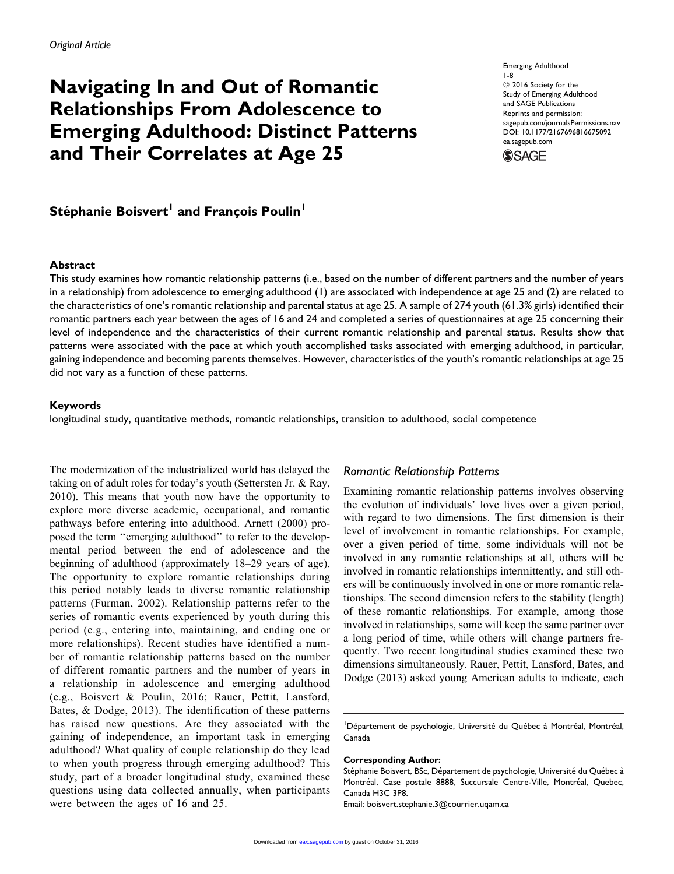# Navigating In and Out of Romantic Relationships From Adolescence to Emerging Adulthood: Distinct Patterns and Their Correlates at Age 25

Emerging Adulthood 1-8  $@$  2016 Society for the Study of Emerging Adulthood and SAGE Publications Reprints and permission: [sagepub.com/journalsPermissions.nav](http://www.sagepub.com/journalsPermissions.nav) DOI: 10.1177/2167696816675092 [ea.sagepub.com](http://ea.sagepub.com)



Stéphanie Boisvert<sup>1</sup> and François Poulin<sup>1</sup>

#### **Abstract**

This study examines how romantic relationship patterns (i.e., based on the number of different partners and the number of years in a relationship) from adolescence to emerging adulthood (1) are associated with independence at age 25 and (2) are related to the characteristics of one's romantic relationship and parental status at age 25. A sample of 274 youth (61.3% girls) identified their romantic partners each year between the ages of 16 and 24 and completed a series of questionnaires at age 25 concerning their level of independence and the characteristics of their current romantic relationship and parental status. Results show that patterns were associated with the pace at which youth accomplished tasks associated with emerging adulthood, in particular, gaining independence and becoming parents themselves. However, characteristics of the youth's romantic relationships at age 25 did not vary as a function of these patterns.

### Keywords

longitudinal study, quantitative methods, romantic relationships, transition to adulthood, social competence

The modernization of the industrialized world has delayed the taking on of adult roles for today's youth (Settersten Jr. & Ray, 2010). This means that youth now have the opportunity to explore more diverse academic, occupational, and romantic pathways before entering into adulthood. Arnett (2000) proposed the term ''emerging adulthood'' to refer to the developmental period between the end of adolescence and the beginning of adulthood (approximately 18–29 years of age). The opportunity to explore romantic relationships during this period notably leads to diverse romantic relationship patterns (Furman, 2002). Relationship patterns refer to the series of romantic events experienced by youth during this period (e.g., entering into, maintaining, and ending one or more relationships). Recent studies have identified a number of romantic relationship patterns based on the number of different romantic partners and the number of years in a relationship in adolescence and emerging adulthood (e.g., Boisvert & Poulin, 2016; Rauer, Pettit, Lansford, Bates, & Dodge, 2013). The identification of these patterns has raised new questions. Are they associated with the gaining of independence, an important task in emerging adulthood? What quality of couple relationship do they lead to when youth progress through emerging adulthood? This study, part of a broader longitudinal study, examined these questions using data collected annually, when participants were between the ages of 16 and 25.

# Romantic Relationship Patterns

Examining romantic relationship patterns involves observing the evolution of individuals' love lives over a given period, with regard to two dimensions. The first dimension is their level of involvement in romantic relationships. For example, over a given period of time, some individuals will not be involved in any romantic relationships at all, others will be involved in romantic relationships intermittently, and still others will be continuously involved in one or more romantic relationships. The second dimension refers to the stability (length) of these romantic relationships. For example, among those involved in relationships, some will keep the same partner over a long period of time, while others will change partners frequently. Two recent longitudinal studies examined these two dimensions simultaneously. Rauer, Pettit, Lansford, Bates, and Dodge (2013) asked young American adults to indicate, each

<sup>1</sup>Département de psychologie, Université du Québec à Montréal, Montréal, Canada

#### Corresponding Author:

Stéphanie Boisvert, BSc, Département de psychologie, Université du Québec à Montréal, Case postale 8888, Succursale Centre-Ville, Montréal, Quebec, Canada H3C 3P8.

Email: boisvert.stephanie.3@courrier.uqam.ca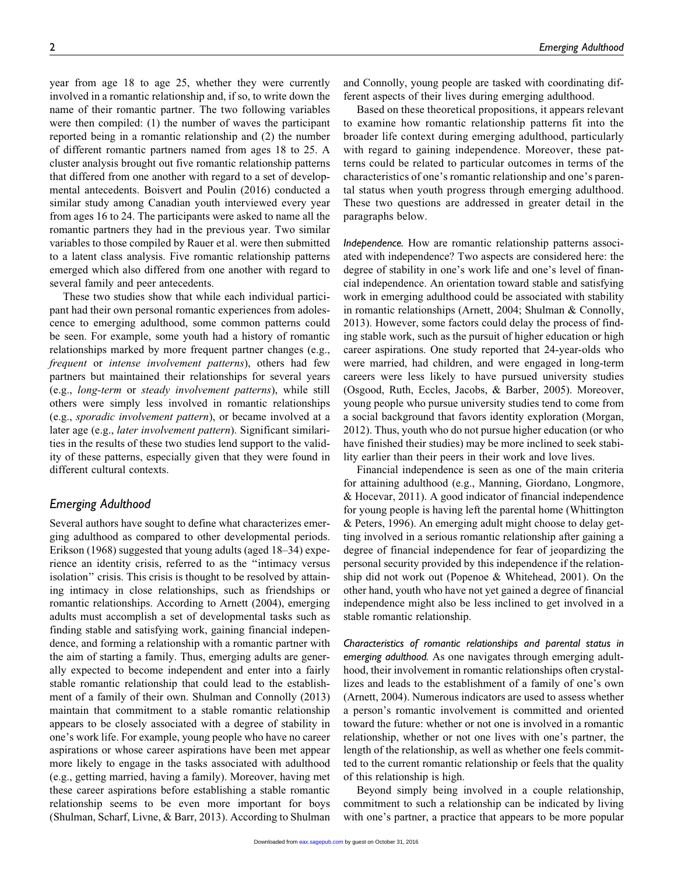year from age 18 to age 25, whether they were currently involved in a romantic relationship and, if so, to write down the name of their romantic partner. The two following variables were then compiled: (1) the number of waves the participant reported being in a romantic relationship and (2) the number of different romantic partners named from ages 18 to 25. A cluster analysis brought out five romantic relationship patterns that differed from one another with regard to a set of developmental antecedents. Boisvert and Poulin (2016) conducted a similar study among Canadian youth interviewed every year from ages 16 to 24. The participants were asked to name all the romantic partners they had in the previous year. Two similar variables to those compiled by Rauer et al. were then submitted to a latent class analysis. Five romantic relationship patterns emerged which also differed from one another with regard to several family and peer antecedents.

These two studies show that while each individual participant had their own personal romantic experiences from adolescence to emerging adulthood, some common patterns could be seen. For example, some youth had a history of romantic relationships marked by more frequent partner changes (e.g., frequent or intense involvement patterns), others had few partners but maintained their relationships for several years (e.g., long-term or steady involvement patterns), while still others were simply less involved in romantic relationships (e.g., sporadic involvement pattern), or became involved at a later age (e.g., later involvement pattern). Significant similarities in the results of these two studies lend support to the validity of these patterns, especially given that they were found in different cultural contexts.

# Emerging Adulthood

Several authors have sought to define what characterizes emerging adulthood as compared to other developmental periods. Erikson (1968) suggested that young adults (aged 18–34) experience an identity crisis, referred to as the ''intimacy versus isolation'' crisis. This crisis is thought to be resolved by attaining intimacy in close relationships, such as friendships or romantic relationships. According to Arnett (2004), emerging adults must accomplish a set of developmental tasks such as finding stable and satisfying work, gaining financial independence, and forming a relationship with a romantic partner with the aim of starting a family. Thus, emerging adults are generally expected to become independent and enter into a fairly stable romantic relationship that could lead to the establishment of a family of their own. Shulman and Connolly (2013) maintain that commitment to a stable romantic relationship appears to be closely associated with a degree of stability in one's work life. For example, young people who have no career aspirations or whose career aspirations have been met appear more likely to engage in the tasks associated with adulthood (e.g., getting married, having a family). Moreover, having met these career aspirations before establishing a stable romantic relationship seems to be even more important for boys (Shulman, Scharf, Livne, & Barr, 2013). According to Shulman and Connolly, young people are tasked with coordinating different aspects of their lives during emerging adulthood.

Based on these theoretical propositions, it appears relevant to examine how romantic relationship patterns fit into the broader life context during emerging adulthood, particularly with regard to gaining independence. Moreover, these patterns could be related to particular outcomes in terms of the characteristics of one's romantic relationship and one's parental status when youth progress through emerging adulthood. These two questions are addressed in greater detail in the paragraphs below.

Independence. How are romantic relationship patterns associated with independence? Two aspects are considered here: the degree of stability in one's work life and one's level of financial independence. An orientation toward stable and satisfying work in emerging adulthood could be associated with stability in romantic relationships (Arnett, 2004; Shulman & Connolly, 2013). However, some factors could delay the process of finding stable work, such as the pursuit of higher education or high career aspirations. One study reported that 24-year-olds who were married, had children, and were engaged in long-term careers were less likely to have pursued university studies (Osgood, Ruth, Eccles, Jacobs, & Barber, 2005). Moreover, young people who pursue university studies tend to come from a social background that favors identity exploration (Morgan, 2012). Thus, youth who do not pursue higher education (or who have finished their studies) may be more inclined to seek stability earlier than their peers in their work and love lives.

Financial independence is seen as one of the main criteria for attaining adulthood (e.g., Manning, Giordano, Longmore, & Hocevar, 2011). A good indicator of financial independence for young people is having left the parental home (Whittington & Peters, 1996). An emerging adult might choose to delay getting involved in a serious romantic relationship after gaining a degree of financial independence for fear of jeopardizing the personal security provided by this independence if the relationship did not work out (Popenoe & Whitehead, 2001). On the other hand, youth who have not yet gained a degree of financial independence might also be less inclined to get involved in a stable romantic relationship.

Characteristics of romantic relationships and parental status in emerging adulthood. As one navigates through emerging adulthood, their involvement in romantic relationships often crystallizes and leads to the establishment of a family of one's own (Arnett, 2004). Numerous indicators are used to assess whether a person's romantic involvement is committed and oriented toward the future: whether or not one is involved in a romantic relationship, whether or not one lives with one's partner, the length of the relationship, as well as whether one feels committed to the current romantic relationship or feels that the quality of this relationship is high.

Beyond simply being involved in a couple relationship, commitment to such a relationship can be indicated by living with one's partner, a practice that appears to be more popular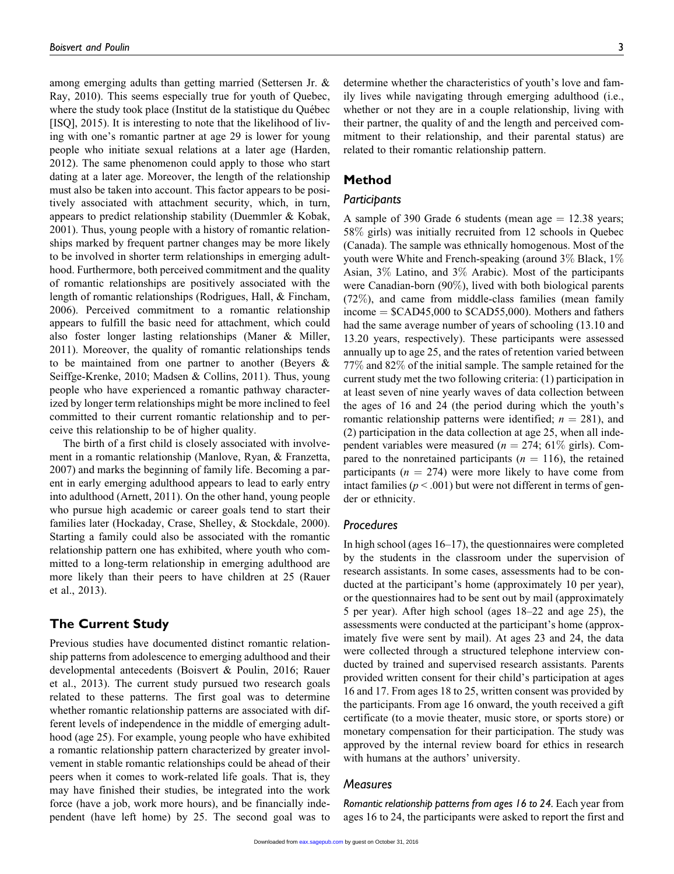among emerging adults than getting married (Settersen Jr. & Ray, 2010). This seems especially true for youth of Quebec, where the study took place (Institut de la statistique du Québec [ISQ], 2015). It is interesting to note that the likelihood of living with one's romantic partner at age 29 is lower for young people who initiate sexual relations at a later age (Harden, 2012). The same phenomenon could apply to those who start dating at a later age. Moreover, the length of the relationship must also be taken into account. This factor appears to be positively associated with attachment security, which, in turn, appears to predict relationship stability (Duemmler & Kobak, 2001). Thus, young people with a history of romantic relationships marked by frequent partner changes may be more likely to be involved in shorter term relationships in emerging adulthood. Furthermore, both perceived commitment and the quality of romantic relationships are positively associated with the length of romantic relationships (Rodrigues, Hall, & Fincham, 2006). Perceived commitment to a romantic relationship appears to fulfill the basic need for attachment, which could also foster longer lasting relationships (Maner & Miller, 2011). Moreover, the quality of romantic relationships tends to be maintained from one partner to another (Beyers & Seiffge-Krenke, 2010; Madsen & Collins, 2011). Thus, young people who have experienced a romantic pathway characterized by longer term relationships might be more inclined to feel committed to their current romantic relationship and to perceive this relationship to be of higher quality.

The birth of a first child is closely associated with involvement in a romantic relationship (Manlove, Ryan, & Franzetta, 2007) and marks the beginning of family life. Becoming a parent in early emerging adulthood appears to lead to early entry into adulthood (Arnett, 2011). On the other hand, young people who pursue high academic or career goals tend to start their families later (Hockaday, Crase, Shelley, & Stockdale, 2000). Starting a family could also be associated with the romantic relationship pattern one has exhibited, where youth who committed to a long-term relationship in emerging adulthood are more likely than their peers to have children at 25 (Rauer et al., 2013).

# The Current Study

Previous studies have documented distinct romantic relationship patterns from adolescence to emerging adulthood and their developmental antecedents (Boisvert & Poulin, 2016; Rauer et al., 2013). The current study pursued two research goals related to these patterns. The first goal was to determine whether romantic relationship patterns are associated with different levels of independence in the middle of emerging adulthood (age 25). For example, young people who have exhibited a romantic relationship pattern characterized by greater involvement in stable romantic relationships could be ahead of their peers when it comes to work-related life goals. That is, they may have finished their studies, be integrated into the work force (have a job, work more hours), and be financially independent (have left home) by 25. The second goal was to

determine whether the characteristics of youth's love and family lives while navigating through emerging adulthood (i.e., whether or not they are in a couple relationship, living with their partner, the quality of and the length and perceived commitment to their relationship, and their parental status) are related to their romantic relationship pattern.

# Method

### Participants

A sample of 390 Grade 6 students (mean age  $= 12.38$  years; 58% girls) was initially recruited from 12 schools in Quebec (Canada). The sample was ethnically homogenous. Most of the youth were White and French-speaking (around 3% Black, 1% Asian, 3% Latino, and 3% Arabic). Most of the participants were Canadian-born (90%), lived with both biological parents (72%), and came from middle-class families (mean family income  $=$  \$CAD45,000 to \$CAD55,000). Mothers and fathers had the same average number of years of schooling (13.10 and 13.20 years, respectively). These participants were assessed annually up to age 25, and the rates of retention varied between 77% and 82% of the initial sample. The sample retained for the current study met the two following criteria: (1) participation in at least seven of nine yearly waves of data collection between the ages of 16 and 24 (the period during which the youth's romantic relationship patterns were identified;  $n = 281$ ), and (2) participation in the data collection at age 25, when all independent variables were measured ( $n = 274$ ; 61% girls). Compared to the nonretained participants ( $n = 116$ ), the retained participants ( $n = 274$ ) were more likely to have come from intact families ( $p < .001$ ) but were not different in terms of gender or ethnicity.

### Procedures

In high school (ages 16–17), the questionnaires were completed by the students in the classroom under the supervision of research assistants. In some cases, assessments had to be conducted at the participant's home (approximately 10 per year), or the questionnaires had to be sent out by mail (approximately 5 per year). After high school (ages 18–22 and age 25), the assessments were conducted at the participant's home (approximately five were sent by mail). At ages 23 and 24, the data were collected through a structured telephone interview conducted by trained and supervised research assistants. Parents provided written consent for their child's participation at ages 16 and 17. From ages 18 to 25, written consent was provided by the participants. From age 16 onward, the youth received a gift certificate (to a movie theater, music store, or sports store) or monetary compensation for their participation. The study was approved by the internal review board for ethics in research with humans at the authors' university.

### Measures

Romantic relationship patterns from ages 16 to 24. Each year from ages 16 to 24, the participants were asked to report the first and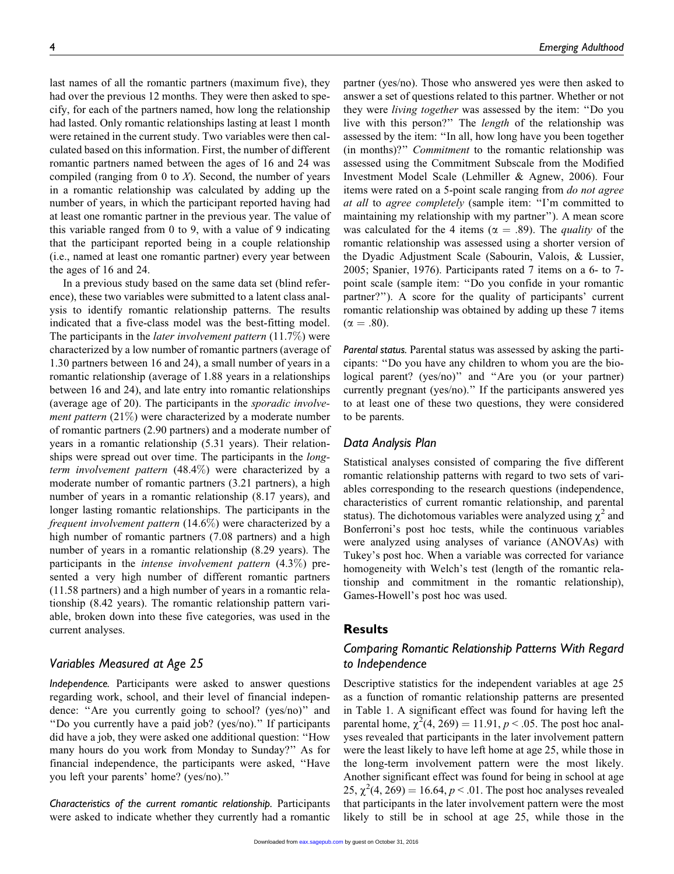last names of all the romantic partners (maximum five), they had over the previous 12 months. They were then asked to specify, for each of the partners named, how long the relationship had lasted. Only romantic relationships lasting at least 1 month were retained in the current study. Two variables were then calculated based on this information. First, the number of different romantic partners named between the ages of 16 and 24 was compiled (ranging from 0 to  $X$ ). Second, the number of years in a romantic relationship was calculated by adding up the number of years, in which the participant reported having had at least one romantic partner in the previous year. The value of this variable ranged from 0 to 9, with a value of 9 indicating that the participant reported being in a couple relationship (i.e., named at least one romantic partner) every year between the ages of 16 and 24.

In a previous study based on the same data set (blind reference), these two variables were submitted to a latent class analysis to identify romantic relationship patterns. The results indicated that a five-class model was the best-fitting model. The participants in the *later involvement pattern*  $(11.7\%)$  were characterized by a low number of romantic partners (average of 1.30 partners between 16 and 24), a small number of years in a romantic relationship (average of 1.88 years in a relationships between 16 and 24), and late entry into romantic relationships (average age of 20). The participants in the sporadic involve*ment pattern*  $(21\%)$  were characterized by a moderate number of romantic partners (2.90 partners) and a moderate number of years in a romantic relationship (5.31 years). Their relationships were spread out over time. The participants in the *long*term involvement pattern (48.4%) were characterized by a moderate number of romantic partners (3.21 partners), a high number of years in a romantic relationship (8.17 years), and longer lasting romantic relationships. The participants in the *frequent involvement pattern*  $(14.6\%)$  were characterized by a high number of romantic partners (7.08 partners) and a high number of years in a romantic relationship (8.29 years). The participants in the intense involvement pattern (4.3%) presented a very high number of different romantic partners (11.58 partners) and a high number of years in a romantic relationship (8.42 years). The romantic relationship pattern variable, broken down into these five categories, was used in the current analyses.

### Variables Measured at Age 25

Independence. Participants were asked to answer questions regarding work, school, and their level of financial independence: "Are you currently going to school? (yes/no)" and ''Do you currently have a paid job? (yes/no).'' If participants did have a job, they were asked one additional question: ''How many hours do you work from Monday to Sunday?'' As for financial independence, the participants were asked, ''Have you left your parents' home? (yes/no).''

Characteristics of the current romantic relationship. Participants were asked to indicate whether they currently had a romantic

partner (yes/no). Those who answered yes were then asked to answer a set of questions related to this partner. Whether or not they were living together was assessed by the item: ''Do you live with this person?'' The length of the relationship was assessed by the item: ''In all, how long have you been together (in months)?'' Commitment to the romantic relationship was assessed using the Commitment Subscale from the Modified Investment Model Scale (Lehmiller & Agnew, 2006). Four items were rated on a 5-point scale ranging from do not agree at all to agree completely (sample item: ''I'm committed to maintaining my relationship with my partner''). A mean score was calculated for the 4 items ( $\alpha = .89$ ). The *quality* of the romantic relationship was assessed using a shorter version of the Dyadic Adjustment Scale (Sabourin, Valois, & Lussier, 2005; Spanier, 1976). Participants rated 7 items on a 6- to 7 point scale (sample item: ''Do you confide in your romantic partner?''). A score for the quality of participants' current romantic relationship was obtained by adding up these 7 items  $(\alpha = .80).$ 

Parental status. Parental status was assessed by asking the participants: ''Do you have any children to whom you are the biological parent? (yes/no)" and "Are you (or your partner) currently pregnant (yes/no).'' If the participants answered yes to at least one of these two questions, they were considered to be parents.

# Data Analysis Plan

Statistical analyses consisted of comparing the five different romantic relationship patterns with regard to two sets of variables corresponding to the research questions (independence, characteristics of current romantic relationship, and parental status). The dichotomous variables were analyzed using  $\chi^2$  and Bonferroni's post hoc tests, while the continuous variables were analyzed using analyses of variance (ANOVAs) with Tukey's post hoc. When a variable was corrected for variance homogeneity with Welch's test (length of the romantic relationship and commitment in the romantic relationship), Games-Howell's post hoc was used.

# **Results**

# Comparing Romantic Relationship Patterns With Regard to Independence

Descriptive statistics for the independent variables at age 25 as a function of romantic relationship patterns are presented in Table 1. A significant effect was found for having left the parental home,  $\chi^2(4, 269) = 11.91$ ,  $p < .05$ . The post hoc analyses revealed that participants in the later involvement pattern were the least likely to have left home at age 25, while those in the long-term involvement pattern were the most likely. Another significant effect was found for being in school at age  $25, \chi^2(4, 269) = 16.64, p < .01$ . The post hoc analyses revealed that participants in the later involvement pattern were the most likely to still be in school at age 25, while those in the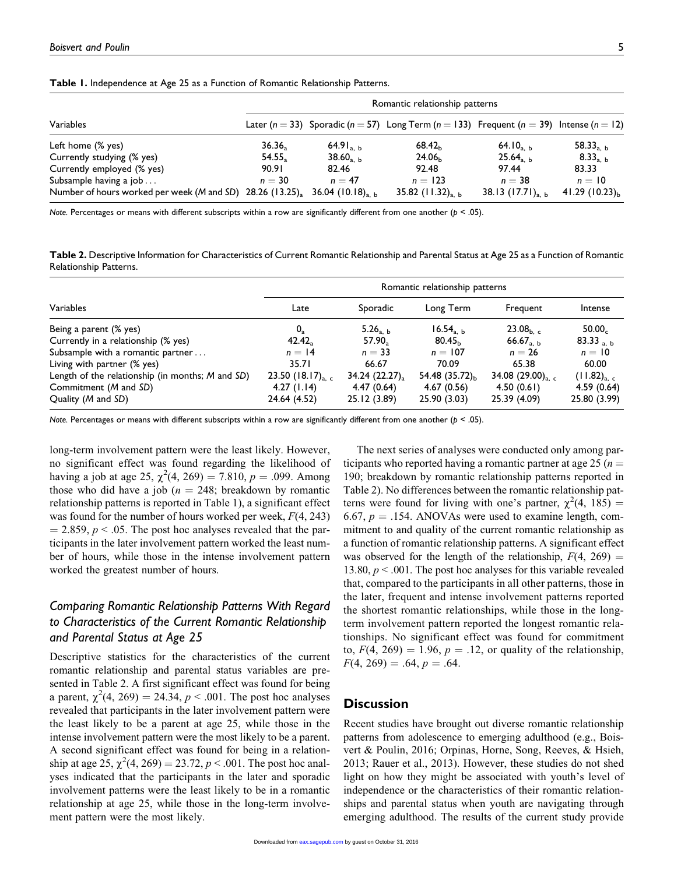|                                                                                       | Romantic relationship patterns |                                 |                                                                                                             |                       |                     |  |  |  |
|---------------------------------------------------------------------------------------|--------------------------------|---------------------------------|-------------------------------------------------------------------------------------------------------------|-----------------------|---------------------|--|--|--|
| Variables                                                                             |                                |                                 | Later ( $n = 33$ ) Sporadic ( $n = 57$ ) Long Term ( $n = 133$ ) Frequent ( $n = 39$ ) Intense ( $n = 12$ ) |                       |                     |  |  |  |
| Left home (% yes)                                                                     | 36.36                          | 64.9 $_{\rm a,b}$               | 68.42 <sub>b</sub>                                                                                          | 64.10 <sub>3</sub> b  | 58.33 <sub>ah</sub> |  |  |  |
| Currently studying (% yes)                                                            | $54.55$ ,                      | 38.60 <sub>a</sub> <sub>b</sub> | 24.06 <sub>b</sub>                                                                                          | $25.64_{a h}$         | $8.33a-h$           |  |  |  |
| Currently employed (% yes)                                                            | 90.91                          | 82.46                           | 92.48                                                                                                       | 97.44                 | 83.33               |  |  |  |
| Subsample having a job                                                                | $n = 30$                       | $n = 47$                        | $n = 123$                                                                                                   | $n = 38$              | $n = 10$            |  |  |  |
| Number of hours worked per week ( <i>M</i> and <i>SD</i> ) 28.26 (13.25) <sub>a</sub> |                                | 36.04 (10.18) <sub>3 h</sub>    | 35.82 $(11.32)_{a,b}$                                                                                       | 38.13 $(17.71)_{a,b}$ | 41.29 $(10.23)_{h}$ |  |  |  |

Table 1. Independence at Age 25 as a Function of Romantic Relationship Patterns.

Note. Percentages or means with different subscripts within a row are significantly different from one another ( $p < .05$ ).

Table 2. Descriptive Information for Characteristics of Current Romantic Relationship and Parental Status at Age 25 as a Function of Romantic Relationship Patterns.

| Variables                                        | Romantic relationship patterns |                 |                     |                        |                  |  |  |
|--------------------------------------------------|--------------------------------|-----------------|---------------------|------------------------|------------------|--|--|
|                                                  | Late                           | Sporadic        | Long Term           | Frequent               | <b>Intense</b>   |  |  |
| Being a parent (% yes)                           | 0 <sub>2</sub>                 | $5.26_{a,b}$    | 16.54 <sub>ah</sub> | 23.08 <sub>b.c.</sub>  | $50.00_c$        |  |  |
| Currently in a relationship (% yes)              | 42.42 <sub>2</sub>             | $57.90_{\circ}$ | 80.45 <sub>h</sub>  | 66.67 <sub>a</sub> $h$ | $83.33a-b$       |  |  |
| Subsample with a romantic partner                | $n = 14$                       | $n = 33$        | $n = 107$           | $n=26$                 | $n = 10$         |  |  |
| Living with partner (% yes)                      | 35.71                          | 66.67           | 70.09               | 65.38                  | 60.00            |  |  |
| Length of the relationship (in months; M and SD) | 23.50 $(18.17)_{a, c}$         | 34.24(22.27)    | 54.48 $(35.72)_{h}$ | 34.08 $(29.00)_{a.c.}$ | $(11.82)_{a.c.}$ |  |  |
| Commitment ( <i>M</i> and <i>SD</i> )            | 4.27(1.14)                     | 4.47 (0.64)     | 4.67(0.56)          | 4.50(0.61)             | 4.59(0.64)       |  |  |
| Quality ( <i>M</i> and <i>SD</i> )               | 24.64 (4.52)                   | 25.12 (3.89)    | 25.90 (3.03)        | 25.39 (4.09)           | 25.80 (3.99)     |  |  |

Note. Percentages or means with different subscripts within a row are significantly different from one another ( $p < .05$ ).

long-term involvement pattern were the least likely. However, no significant effect was found regarding the likelihood of having a job at age 25,  $\chi^2(4, 269) = 7.810$ ,  $p = .099$ . Among those who did have a job ( $n = 248$ ; breakdown by romantic relationship patterns is reported in Table 1), a significant effect was found for the number of hours worked per week,  $F(4, 243)$  $\mu$  2.859, p < .05. The post hoc analyses revealed that the participants in the later involvement pattern worked the least number of hours, while those in the intense involvement pattern worked the greatest number of hours.

# Comparing Romantic Relationship Patterns With Regard to Characteristics of the Current Romantic Relationship and Parental Status at Age 25

Descriptive statistics for the characteristics of the current romantic relationship and parental status variables are presented in Table 2. A first significant effect was found for being a parent,  $\chi^2(4, 269) = 24.34, p < .001$ . The post hoc analyses revealed that participants in the later involvement pattern were the least likely to be a parent at age 25, while those in the intense involvement pattern were the most likely to be a parent. A second significant effect was found for being in a relationship at age 25,  $\chi^2(4, 269) = 23.72, p < .001$ . The post hoc analyses indicated that the participants in the later and sporadic involvement patterns were the least likely to be in a romantic relationship at age 25, while those in the long-term involvement pattern were the most likely.

The next series of analyses were conducted only among participants who reported having a romantic partner at age 25 ( $n =$ 190; breakdown by romantic relationship patterns reported in Table 2). No differences between the romantic relationship patterns were found for living with one's partner,  $\chi^2(4, 185)$  = 6.67,  $p = .154$ . ANOVAs were used to examine length, commitment to and quality of the current romantic relationship as a function of romantic relationship patterns. A significant effect was observed for the length of the relationship,  $F(4, 269) =$ 13.80,  $p < .001$ . The post hoc analyses for this variable revealed that, compared to the participants in all other patterns, those in the later, frequent and intense involvement patterns reported the shortest romantic relationships, while those in the longterm involvement pattern reported the longest romantic relationships. No significant effect was found for commitment to,  $F(4, 269) = 1.96$ ,  $p = .12$ , or quality of the relationship,  $F(4, 269) = .64, p = .64.$ 

# **Discussion**

Recent studies have brought out diverse romantic relationship patterns from adolescence to emerging adulthood (e.g., Boisvert & Poulin, 2016; Orpinas, Horne, Song, Reeves, & Hsieh, 2013; Rauer et al., 2013). However, these studies do not shed light on how they might be associated with youth's level of independence or the characteristics of their romantic relationships and parental status when youth are navigating through emerging adulthood. The results of the current study provide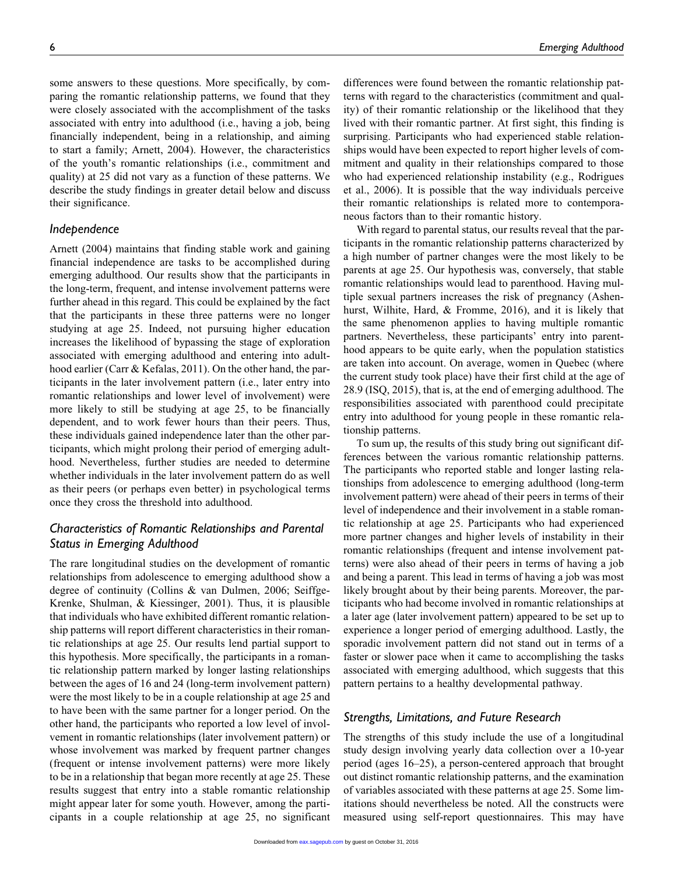some answers to these questions. More specifically, by comparing the romantic relationship patterns, we found that they were closely associated with the accomplishment of the tasks associated with entry into adulthood (i.e., having a job, being financially independent, being in a relationship, and aiming to start a family; Arnett, 2004). However, the characteristics of the youth's romantic relationships (i.e., commitment and quality) at 25 did not vary as a function of these patterns. We describe the study findings in greater detail below and discuss their significance.

### Independence

Arnett (2004) maintains that finding stable work and gaining financial independence are tasks to be accomplished during emerging adulthood. Our results show that the participants in the long-term, frequent, and intense involvement patterns were further ahead in this regard. This could be explained by the fact that the participants in these three patterns were no longer studying at age 25. Indeed, not pursuing higher education increases the likelihood of bypassing the stage of exploration associated with emerging adulthood and entering into adulthood earlier (Carr & Kefalas, 2011). On the other hand, the participants in the later involvement pattern (i.e., later entry into romantic relationships and lower level of involvement) were more likely to still be studying at age 25, to be financially dependent, and to work fewer hours than their peers. Thus, these individuals gained independence later than the other participants, which might prolong their period of emerging adulthood. Nevertheless, further studies are needed to determine whether individuals in the later involvement pattern do as well as their peers (or perhaps even better) in psychological terms once they cross the threshold into adulthood.

# Characteristics of Romantic Relationships and Parental Status in Emerging Adulthood

The rare longitudinal studies on the development of romantic relationships from adolescence to emerging adulthood show a degree of continuity (Collins & van Dulmen, 2006; Seiffge-Krenke, Shulman, & Kiessinger, 2001). Thus, it is plausible that individuals who have exhibited different romantic relationship patterns will report different characteristics in their romantic relationships at age 25. Our results lend partial support to this hypothesis. More specifically, the participants in a romantic relationship pattern marked by longer lasting relationships between the ages of 16 and 24 (long-term involvement pattern) were the most likely to be in a couple relationship at age 25 and to have been with the same partner for a longer period. On the other hand, the participants who reported a low level of involvement in romantic relationships (later involvement pattern) or whose involvement was marked by frequent partner changes (frequent or intense involvement patterns) were more likely to be in a relationship that began more recently at age 25. These results suggest that entry into a stable romantic relationship might appear later for some youth. However, among the participants in a couple relationship at age 25, no significant

differences were found between the romantic relationship patterns with regard to the characteristics (commitment and quality) of their romantic relationship or the likelihood that they lived with their romantic partner. At first sight, this finding is surprising. Participants who had experienced stable relationships would have been expected to report higher levels of commitment and quality in their relationships compared to those who had experienced relationship instability (e.g., Rodrigues et al., 2006). It is possible that the way individuals perceive their romantic relationships is related more to contemporaneous factors than to their romantic history.

With regard to parental status, our results reveal that the participants in the romantic relationship patterns characterized by a high number of partner changes were the most likely to be parents at age 25. Our hypothesis was, conversely, that stable romantic relationships would lead to parenthood. Having multiple sexual partners increases the risk of pregnancy (Ashenhurst, Wilhite, Hard, & Fromme, 2016), and it is likely that the same phenomenon applies to having multiple romantic partners. Nevertheless, these participants' entry into parenthood appears to be quite early, when the population statistics are taken into account. On average, women in Quebec (where the current study took place) have their first child at the age of 28.9 (ISQ, 2015), that is, at the end of emerging adulthood. The responsibilities associated with parenthood could precipitate entry into adulthood for young people in these romantic relationship patterns.

To sum up, the results of this study bring out significant differences between the various romantic relationship patterns. The participants who reported stable and longer lasting relationships from adolescence to emerging adulthood (long-term involvement pattern) were ahead of their peers in terms of their level of independence and their involvement in a stable romantic relationship at age 25. Participants who had experienced more partner changes and higher levels of instability in their romantic relationships (frequent and intense involvement patterns) were also ahead of their peers in terms of having a job and being a parent. This lead in terms of having a job was most likely brought about by their being parents. Moreover, the participants who had become involved in romantic relationships at a later age (later involvement pattern) appeared to be set up to experience a longer period of emerging adulthood. Lastly, the sporadic involvement pattern did not stand out in terms of a faster or slower pace when it came to accomplishing the tasks associated with emerging adulthood, which suggests that this pattern pertains to a healthy developmental pathway.

### Strengths, Limitations, and Future Research

The strengths of this study include the use of a longitudinal study design involving yearly data collection over a 10-year period (ages 16–25), a person-centered approach that brought out distinct romantic relationship patterns, and the examination of variables associated with these patterns at age 25. Some limitations should nevertheless be noted. All the constructs were measured using self-report questionnaires. This may have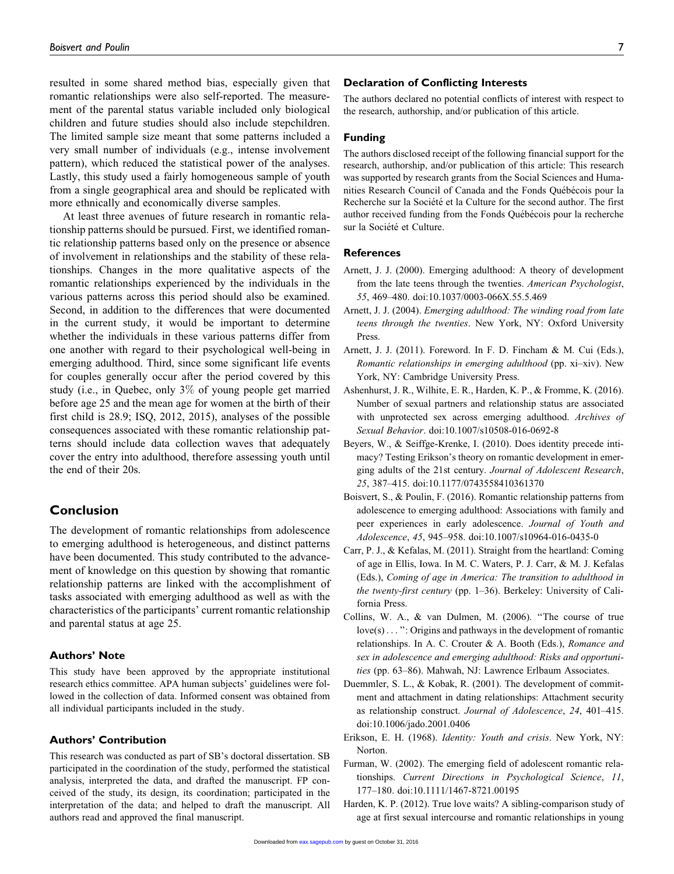resulted in some shared method bias, especially given that romantic relationships were also self-reported. The measurement of the parental status variable included only biological children and future studies should also include stepchildren. The limited sample size meant that some patterns included a very small number of individuals (e.g., intense involvement pattern), which reduced the statistical power of the analyses. Lastly, this study used a fairly homogeneous sample of youth from a single geographical area and should be replicated with more ethnically and economically diverse samples.

At least three avenues of future research in romantic relationship patterns should be pursued. First, we identified romantic relationship patterns based only on the presence or absence of involvement in relationships and the stability of these relationships. Changes in the more qualitative aspects of the romantic relationships experienced by the individuals in the various patterns across this period should also be examined. Second, in addition to the differences that were documented in the current study, it would be important to determine whether the individuals in these various patterns differ from one another with regard to their psychological well-being in emerging adulthood. Third, since some significant life events for couples generally occur after the period covered by this study (i.e., in Quebec, only 3% of young people get married before age 25 and the mean age for women at the birth of their first child is 28.9; ISQ, 2012, 2015), analyses of the possible consequences associated with these romantic relationship patterns should include data collection waves that adequately cover the entry into adulthood, therefore assessing youth until the end of their 20s.

# Conclusion

The development of romantic relationships from adolescence to emerging adulthood is heterogeneous, and distinct patterns have been documented. This study contributed to the advancement of knowledge on this question by showing that romantic relationship patterns are linked with the accomplishment of tasks associated with emerging adulthood as well as with the characteristics of the participants' current romantic relationship and parental status at age 25.

### Authors' Note

This study have been approved by the appropriate institutional research ethics committee. APA human subjects' guidelines were followed in the collection of data. Informed consent was obtained from all individual participants included in the study.

### Authors' Contribution

This research was conducted as part of SB's doctoral dissertation. SB participated in the coordination of the study, performed the statistical analysis, interpreted the data, and drafted the manuscript. FP conceived of the study, its design, its coordination; participated in the interpretation of the data; and helped to draft the manuscript. All authors read and approved the final manuscript.

### Declaration of Conflicting Interests

The authors declared no potential conflicts of interest with respect to the research, authorship, and/or publication of this article.

#### Funding

The authors disclosed receipt of the following financial support for the research, authorship, and/or publication of this article: This research was supported by research grants from the Social Sciences and Humanities Research Council of Canada and the Fonds Québécois pour la Recherche sur la Société et la Culture for the second author. The first author received funding from the Fonds Québécois pour la recherche sur la Société et Culture.

#### **References**

- Arnett, J. J. (2000). Emerging adulthood: A theory of development from the late teens through the twenties. American Psychologist, 55, 469–480. doi:10.1037/0003-066X.55.5.469
- Arnett, J. J. (2004). Emerging adulthood: The winding road from late teens through the twenties. New York, NY: Oxford University Press.
- Arnett, J. J. (2011). Foreword. In F. D. Fincham & M. Cui (Eds.), Romantic relationships in emerging adulthood (pp. xi–xiv). New York, NY: Cambridge University Press.
- Ashenhurst, J. R., Wilhite, E. R., Harden, K. P., & Fromme, K. (2016). Number of sexual partners and relationship status are associated with unprotected sex across emerging adulthood. Archives of Sexual Behavior. doi:10.1007/s10508-016-0692-8
- Beyers, W., & Seiffge-Krenke, I. (2010). Does identity precede intimacy? Testing Erikson's theory on romantic development in emerging adults of the 21st century. Journal of Adolescent Research, 25, 387–415. doi:10.1177/0743558410361370
- Boisvert, S., & Poulin, F. (2016). Romantic relationship patterns from adolescence to emerging adulthood: Associations with family and peer experiences in early adolescence. Journal of Youth and Adolescence, 45, 945–958. doi:10.1007/s10964-016-0435-0
- Carr, P. J., & Kefalas, M. (2011). Straight from the heartland: Coming of age in Ellis, Iowa. In M. C. Waters, P. J. Carr, & M. J. Kefalas (Eds.), Coming of age in America: The transition to adulthood in the twenty-first century (pp. 1–36). Berkeley: University of California Press.
- Collins, W. A., & van Dulmen, M. (2006). ''The course of true love(s) ...'': Origins and pathways in the development of romantic relationships. In A. C. Crouter & A. Booth (Eds.), Romance and sex in adolescence and emerging adulthood: Risks and opportunities (pp. 63–86). Mahwah, NJ: Lawrence Erlbaum Associates.
- Duemmler, S. L., & Kobak, R. (2001). The development of commitment and attachment in dating relationships: Attachment security as relationship construct. Journal of Adolescence, 24, 401–415. doi:10.1006/jado.2001.0406
- Erikson, E. H. (1968). Identity: Youth and crisis. New York, NY: Norton.
- Furman, W. (2002). The emerging field of adolescent romantic relationships. Current Directions in Psychological Science, 11, 177–180. doi:10.1111/1467-8721.00195
- Harden, K. P. (2012). True love waits? A sibling-comparison study of age at first sexual intercourse and romantic relationships in young